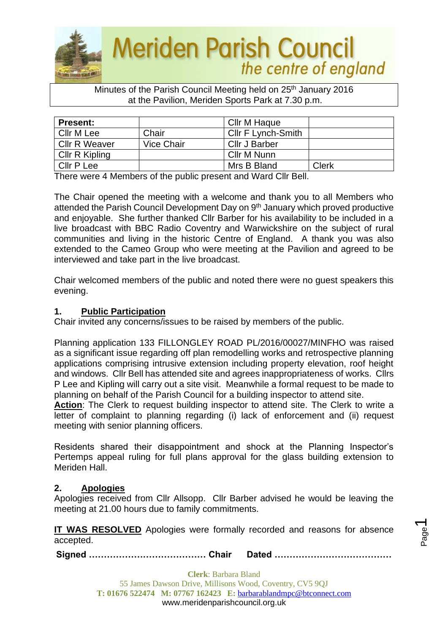

### Minutes of the Parish Council Meeting held on 25<sup>th</sup> January 2016 at the Pavilion, Meriden Sports Park at 7.30 p.m.

| <b>Present:</b> |            | Cllr M Haque              |              |
|-----------------|------------|---------------------------|--------------|
| Cllr M Lee      | Chair      | <b>CIIr F Lynch-Smith</b> |              |
| Cllr R Weaver   | Vice Chair | Cllr J Barber             |              |
| Cllr R Kipling  |            | Cllr M Nunn               |              |
| Cllr P Lee      |            | Mrs B Bland               | <b>Clerk</b> |

There were 4 Members of the public present and Ward Cllr Bell.

The Chair opened the meeting with a welcome and thank you to all Members who attended the Parish Council Development Day on 9th January which proved productive and enjoyable. She further thanked Cllr Barber for his availability to be included in a live broadcast with BBC Radio Coventry and Warwickshire on the subject of rural communities and living in the historic Centre of England. A thank you was also extended to the Cameo Group who were meeting at the Pavilion and agreed to be interviewed and take part in the live broadcast.

Chair welcomed members of the public and noted there were no guest speakers this evening.

### **1. Public Participation**

Chair invited any concerns/issues to be raised by members of the public.

Planning application 133 FILLONGLEY ROAD PL/2016/00027/MINFHO was raised as a significant issue regarding off plan remodelling works and retrospective planning applications comprising intrusive extension including property elevation, roof height and windows. Cllr Bell has attended site and agrees inappropriateness of works. Cllrs P Lee and Kipling will carry out a site visit. Meanwhile a formal request to be made to planning on behalf of the Parish Council for a building inspector to attend site.

**Action**: The Clerk to request building inspector to attend site. The Clerk to write a letter of complaint to planning regarding (i) lack of enforcement and (ii) request meeting with senior planning officers.

Residents shared their disappointment and shock at the Planning Inspector's Pertemps appeal ruling for full plans approval for the glass building extension to Meriden Hall.

## **2. Apologies**

Apologies received from Cllr Allsopp. Cllr Barber advised he would be leaving the meeting at 21.00 hours due to family commitments.

**IT WAS RESOLVED** Apologies were formally recorded and reasons for absence accepted.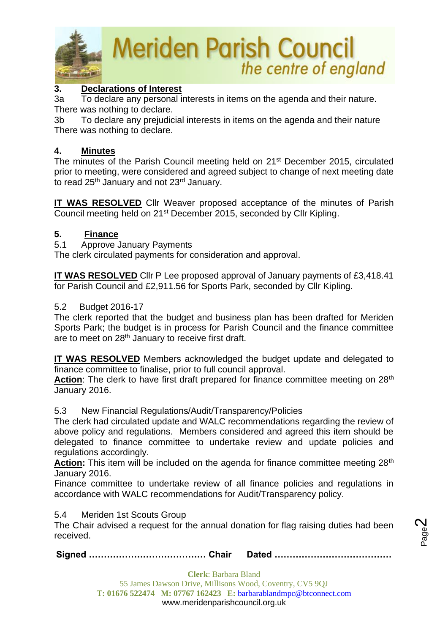

### **3. Declarations of Interest**

3a To declare any personal interests in items on the agenda and their nature. There was nothing to declare.

3b To declare any prejudicial interests in items on the agenda and their nature There was nothing to declare.

### **4. Minutes**

The minutes of the Parish Council meeting held on 21<sup>st</sup> December 2015, circulated prior to meeting, were considered and agreed subject to change of next meeting date to read 25<sup>th</sup> January and not 23<sup>rd</sup> January.

**IT WAS RESOLVED** Cllr Weaver proposed acceptance of the minutes of Parish Council meeting held on 21st December 2015, seconded by Cllr Kipling.

### **5. Finance**

5.1 Approve January Payments

The clerk circulated payments for consideration and approval.

**IT WAS RESOLVED** Cllr P Lee proposed approval of January payments of £3,418.41 for Parish Council and £2,911.56 for Sports Park, seconded by Cllr Kipling.

#### 5.2 Budget 2016-17

The clerk reported that the budget and business plan has been drafted for Meriden Sports Park; the budget is in process for Parish Council and the finance committee are to meet on 28th January to receive first draft.

**IT WAS RESOLVED** Members acknowledged the budget update and delegated to finance committee to finalise, prior to full council approval.

Action: The clerk to have first draft prepared for finance committee meeting on 28<sup>th</sup> January 2016.

5.3 New Financial Regulations/Audit/Transparency/Policies

The clerk had circulated update and WALC recommendations regarding the review of above policy and regulations. Members considered and agreed this item should be delegated to finance committee to undertake review and update policies and regulations accordingly.

Action: This item will be included on the agenda for finance committee meeting 28<sup>th</sup> January 2016.

Finance committee to undertake review of all finance policies and regulations in accordance with WALC recommendations for Audit/Transparency policy.

5.4 Meriden 1st Scouts Group

The Chair advised a request for the annual donation for flag raising duties had been received.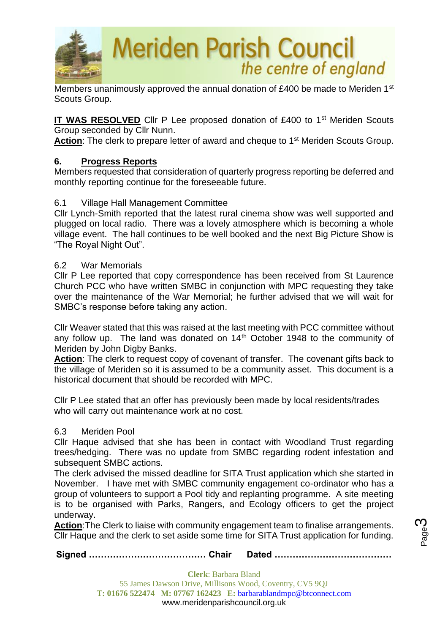

Members unanimously approved the annual donation of £400 be made to Meriden 1<sup>st</sup> Scouts Group.

**IT WAS RESOLVED** Cllr P Lee proposed donation of £400 to 1<sup>st</sup> Meriden Scouts Group seconded by Cllr Nunn.

Action: The clerk to prepare letter of award and cheque to 1<sup>st</sup> Meriden Scouts Group.

### **6. Progress Reports**

Members requested that consideration of quarterly progress reporting be deferred and monthly reporting continue for the foreseeable future.

### 6.1 Village Hall Management Committee

Cllr Lynch-Smith reported that the latest rural cinema show was well supported and plugged on local radio. There was a lovely atmosphere which is becoming a whole village event. The hall continues to be well booked and the next Big Picture Show is "The Royal Night Out".

#### 6.2 War Memorials

Cllr P Lee reported that copy correspondence has been received from St Laurence Church PCC who have written SMBC in conjunction with MPC requesting they take over the maintenance of the War Memorial; he further advised that we will wait for SMBC's response before taking any action.

Cllr Weaver stated that this was raised at the last meeting with PCC committee without any follow up. The land was donated on 14<sup>th</sup> October 1948 to the community of Meriden by John Digby Banks.

Action: The clerk to request copy of covenant of transfer. The covenant gifts back to the village of Meriden so it is assumed to be a community asset. This document is a historical document that should be recorded with MPC.

Cllr P Lee stated that an offer has previously been made by local residents/trades who will carry out maintenance work at no cost.

### 6.3 Meriden Pool

Cllr Haque advised that she has been in contact with Woodland Trust regarding trees/hedging. There was no update from SMBC regarding rodent infestation and subsequent SMBC actions.

The clerk advised the missed deadline for SITA Trust application which she started in November. I have met with SMBC community engagement co-ordinator who has a group of volunteers to support a Pool tidy and replanting programme. A site meeting is to be organised with Parks, Rangers, and Ecology officers to get the project underway.

**Action**:The Clerk to liaise with community engagement team to finalise arrangements. Cllr Haque and the clerk to set aside some time for SITA Trust application for funding.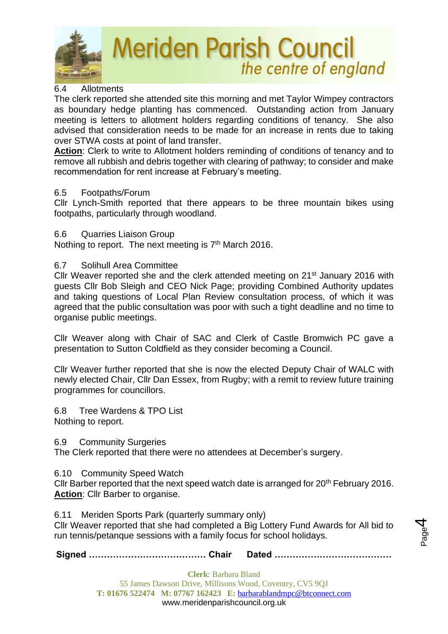

## 6.4 Allotments

The clerk reported she attended site this morning and met Taylor Wimpey contractors as boundary hedge planting has commenced. Outstanding action from January meeting is letters to allotment holders regarding conditions of tenancy. She also advised that consideration needs to be made for an increase in rents due to taking over STWA costs at point of land transfer.

**Action**: Clerk to write to Allotment holders reminding of conditions of tenancy and to remove all rubbish and debris together with clearing of pathway; to consider and make recommendation for rent increase at February's meeting.

### 6.5 Footpaths/Forum

Cllr Lynch-Smith reported that there appears to be three mountain bikes using footpaths, particularly through woodland.

### 6.6 Quarries Liaison Group

Nothing to report. The next meeting is  $7<sup>th</sup>$  March 2016.

### 6.7 Solihull Area Committee

Cllr Weaver reported she and the clerk attended meeting on 21<sup>st</sup> January 2016 with guests Cllr Bob Sleigh and CEO Nick Page; providing Combined Authority updates and taking questions of Local Plan Review consultation process, of which it was agreed that the public consultation was poor with such a tight deadline and no time to organise public meetings.

Cllr Weaver along with Chair of SAC and Clerk of Castle Bromwich PC gave a presentation to Sutton Coldfield as they consider becoming a Council.

Cllr Weaver further reported that she is now the elected Deputy Chair of WALC with newly elected Chair, Cllr Dan Essex, from Rugby; with a remit to review future training programmes for councillors.

6.8 Tree Wardens & TPO List Nothing to report.

6.9 Community Surgeries

The Clerk reported that there were no attendees at December's surgery.

### 6.10 Community Speed Watch

Cllr Barber reported that the next speed watch date is arranged for 20<sup>th</sup> February 2016. **Action**: Cllr Barber to organise.

6.11 Meriden Sports Park (quarterly summary only)

Cllr Weaver reported that she had completed a Big Lottery Fund Awards for All bid to run tennis/petanque sessions with a family focus for school holidays.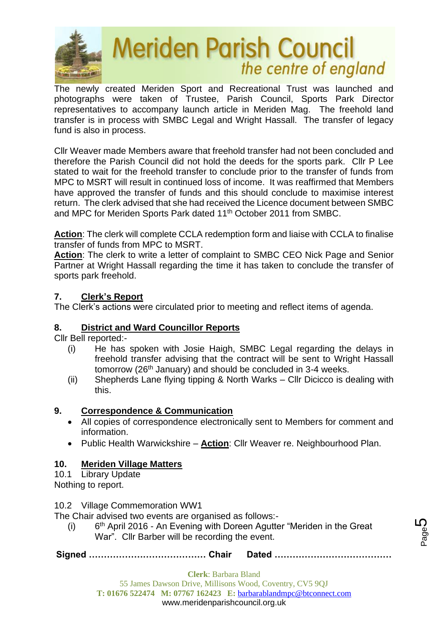

The newly created Meriden Sport and Recreational Trust was launched and photographs were taken of Trustee, Parish Council, Sports Park Director representatives to accompany launch article in Meriden Mag. The freehold land transfer is in process with SMBC Legal and Wright Hassall. The transfer of legacy fund is also in process.

Cllr Weaver made Members aware that freehold transfer had not been concluded and therefore the Parish Council did not hold the deeds for the sports park. Cllr P Lee stated to wait for the freehold transfer to conclude prior to the transfer of funds from MPC to MSRT will result in continued loss of income. It was reaffirmed that Members have approved the transfer of funds and this should conclude to maximise interest return. The clerk advised that she had received the Licence document between SMBC and MPC for Meriden Sports Park dated 11<sup>th</sup> October 2011 from SMBC.

**Action**: The clerk will complete CCLA redemption form and liaise with CCLA to finalise transfer of funds from MPC to MSRT.

**Action**: The clerk to write a letter of complaint to SMBC CEO Nick Page and Senior Partner at Wright Hassall regarding the time it has taken to conclude the transfer of sports park freehold.

## **7. Clerk's Report**

The Clerk's actions were circulated prior to meeting and reflect items of agenda.

## **8. District and Ward Councillor Reports**

Cllr Bell reported:-

- (i) He has spoken with Josie Haigh, SMBC Legal regarding the delays in freehold transfer advising that the contract will be sent to Wright Hassall tomorrow (26<sup>th</sup> January) and should be concluded in 3-4 weeks.
- (ii) Shepherds Lane flying tipping & North Warks Cllr Dicicco is dealing with this.

## **9. Correspondence & Communication**

- All copies of correspondence electronically sent to Members for comment and information.
- Public Health Warwickshire **Action**: Cllr Weaver re. Neighbourhood Plan.

## **10. Meriden Village Matters**

10.1 Library Update

Nothing to report.

10.2 Village Commemoration WW1

The Chair advised two events are organised as follows:-

 $(i)$ 6<sup>th</sup> April 2016 - An Evening with Doreen Agutter "Meriden in the Great War". Cllr Barber will be recording the event.

**Signed ………………………………… Chair Dated …………………………………**

**Clerk**: Barbara Bland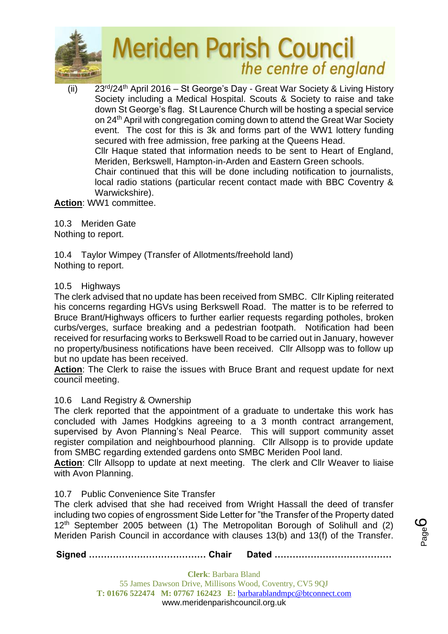

(ii) 23rd/24th April 2016 – St George's Day - Great War Society & Living History Society including a Medical Hospital. Scouts & Society to raise and take down St George's flag. St Laurence Church will be hosting a special service on 24th April with congregation coming down to attend the Great War Society event. The cost for this is 3k and forms part of the WW1 lottery funding secured with free admission, free parking at the Queens Head. Cllr Haque stated that information needs to be sent to Heart of England, Meriden, Berkswell, Hampton-in-Arden and Eastern Green schools. Chair continued that this will be done including notification to journalists, local radio stations (particular recent contact made with BBC Coventry & Warwickshire).

## **Action**: WW1 committee.

10.3 Meriden Gate Nothing to report.

10.4 Taylor Wimpey (Transfer of Allotments/freehold land) Nothing to report.

### 10.5 Highways

The clerk advised that no update has been received from SMBC. Cllr Kipling reiterated his concerns regarding HGVs using Berkswell Road. The matter is to be referred to Bruce Brant/Highways officers to further earlier requests regarding potholes, broken curbs/verges, surface breaking and a pedestrian footpath. Notification had been received for resurfacing works to Berkswell Road to be carried out in January, however no property/business notifications have been received. Cllr Allsopp was to follow up but no update has been received.

**Action**: The Clerk to raise the issues with Bruce Brant and request update for next council meeting.

### 10.6 Land Registry & Ownership

The clerk reported that the appointment of a graduate to undertake this work has concluded with James Hodgkins agreeing to a 3 month contract arrangement, supervised by Avon Planning's Neal Pearce. This will support community asset register compilation and neighbourhood planning. Cllr Allsopp is to provide update from SMBC regarding extended gardens onto SMBC Meriden Pool land.

**Action**: Cllr Allsopp to update at next meeting. The clerk and Cllr Weaver to liaise with Avon Planning.

### 10.7 Public Convenience Site Transfer

The clerk advised that she had received from Wright Hassall the deed of transfer including two copies of engrossment Side Letter for "the Transfer of the Property dated 12<sup>th</sup> September 2005 between (1) The Metropolitan Borough of Solihull and (2) Meriden Parish Council in accordance with clauses 13(b) and 13(f) of the Transfer.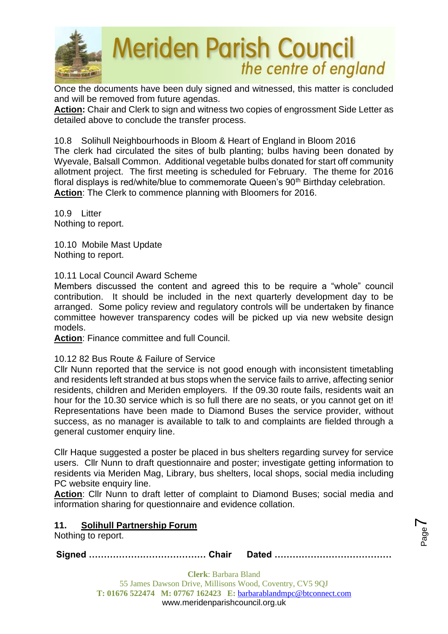

Once the documents have been duly signed and witnessed, this matter is concluded and will be removed from future agendas.

**Action:** Chair and Clerk to sign and witness two copies of engrossment Side Letter as detailed above to conclude the transfer process.

10.8 Solihull Neighbourhoods in Bloom & Heart of England in Bloom 2016 The clerk had circulated the sites of bulb planting; bulbs having been donated by Wyevale, Balsall Common. Additional vegetable bulbs donated for start off community allotment project. The first meeting is scheduled for February. The theme for 2016 floral displays is red/white/blue to commemorate Queen's 90<sup>th</sup> Birthday celebration. **Action**: The Clerk to commence planning with Bloomers for 2016.

10.9 Litter Nothing to report.

10.10 Mobile Mast Update Nothing to report.

10.11 Local Council Award Scheme

Members discussed the content and agreed this to be require a "whole" council contribution. It should be included in the next quarterly development day to be arranged. Some policy review and regulatory controls will be undertaken by finance committee however transparency codes will be picked up via new website design models.

**Action**: Finance committee and full Council.

## 10.12 82 Bus Route & Failure of Service

Cllr Nunn reported that the service is not good enough with inconsistent timetabling and residents left stranded at bus stops when the service fails to arrive, affecting senior residents, children and Meriden employers. If the 09.30 route fails, residents wait an hour for the 10.30 service which is so full there are no seats, or you cannot get on it! Representations have been made to Diamond Buses the service provider, without success, as no manager is available to talk to and complaints are fielded through a general customer enquiry line.

Cllr Haque suggested a poster be placed in bus shelters regarding survey for service users. Cllr Nunn to draft questionnaire and poster; investigate getting information to residents via Meriden Mag, Library, bus shelters, local shops, social media including PC website enquiry line.

**Action**: Cllr Nunn to draft letter of complaint to Diamond Buses; social media and information sharing for questionnaire and evidence collation.

> Page  $\blacktriangleright$

## **11. Solihull Partnership Forum**

Nothing to report.

**Signed ………………………………… Chair Dated …………………………………**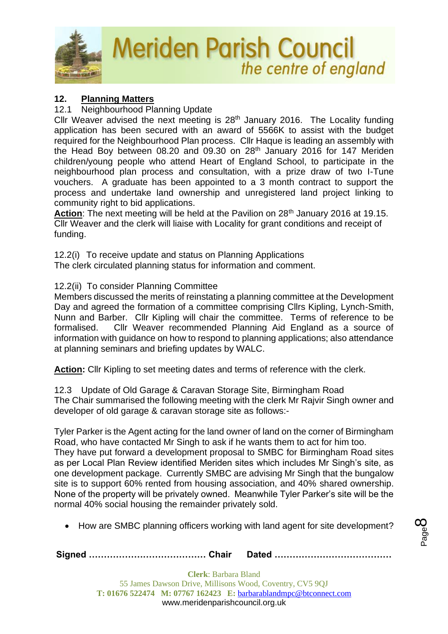

## **12. Planning Matters**

### 12.1 Neighbourhood Planning Update

Cllr Weaver advised the next meeting is 28<sup>th</sup> January 2016. The Locality funding application has been secured with an award of 5566K to assist with the budget required for the Neighbourhood Plan process. Cllr Haque is leading an assembly with the Head Boy between 08.20 and 09.30 on 28<sup>th</sup> January 2016 for 147 Meriden children/young people who attend Heart of England School, to participate in the neighbourhood plan process and consultation, with a prize draw of two I-Tune vouchers. A graduate has been appointed to a 3 month contract to support the process and undertake land ownership and unregistered land project linking to community right to bid applications.

Action: The next meeting will be held at the Pavilion on 28<sup>th</sup> January 2016 at 19.15. Cllr Weaver and the clerk will liaise with Locality for grant conditions and receipt of funding.

12.2(i) To receive update and status on Planning Applications The clerk circulated planning status for information and comment.

### 12.2(ii) To consider Planning Committee

Members discussed the merits of reinstating a planning committee at the Development Day and agreed the formation of a committee comprising Cllrs Kipling, Lynch-Smith, Nunn and Barber. Cllr Kipling will chair the committee. Terms of reference to be formalised. Cllr Weaver recommended Planning Aid England as a source of information with guidance on how to respond to planning applications; also attendance at planning seminars and briefing updates by WALC.

**Action:** Cllr Kipling to set meeting dates and terms of reference with the clerk.

12.3 Update of Old Garage & Caravan Storage Site, Birmingham Road The Chair summarised the following meeting with the clerk Mr Rajvir Singh owner and developer of old garage & caravan storage site as follows:-

Tyler Parker is the Agent acting for the land owner of land on the corner of Birmingham Road, who have contacted Mr Singh to ask if he wants them to act for him too. They have put forward a development proposal to SMBC for Birmingham Road sites as per Local Plan Review identified Meriden sites which includes Mr Singh's site, as one development package. Currently SMBC are advising Mr Singh that the bungalow site is to support 60% rented from housing association, and 40% shared ownership. None of the property will be privately owned. Meanwhile Tyler Parker's site will be the normal 40% social housing the remainder privately sold.

• How are SMBC planning officers working with land agent for site development?

**Signed ………………………………… Chair Dated …………………………………**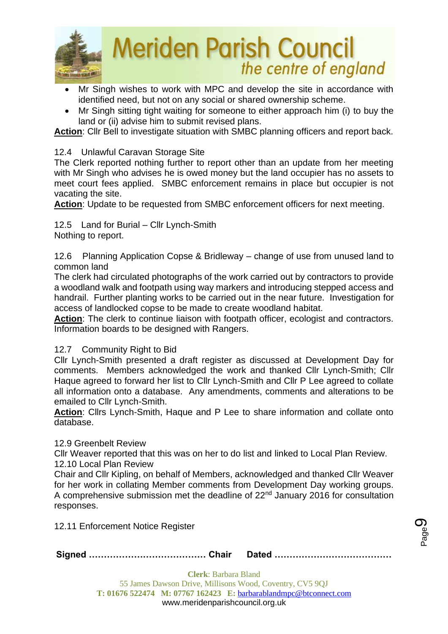

- Mr Singh wishes to work with MPC and develop the site in accordance with identified need, but not on any social or shared ownership scheme.
- Mr Singh sitting tight waiting for someone to either approach him (i) to buy the land or (ii) advise him to submit revised plans.

Action: Cllr Bell to investigate situation with SMBC planning officers and report back.

### 12.4 Unlawful Caravan Storage Site

The Clerk reported nothing further to report other than an update from her meeting with Mr Singh who advises he is owed money but the land occupier has no assets to meet court fees applied. SMBC enforcement remains in place but occupier is not vacating the site.

**Action**: Update to be requested from SMBC enforcement officers for next meeting.

12.5 Land for Burial – Cllr Lynch-Smith Nothing to report.

12.6 Planning Application Copse & Bridleway – change of use from unused land to common land

The clerk had circulated photographs of the work carried out by contractors to provide a woodland walk and footpath using way markers and introducing stepped access and handrail. Further planting works to be carried out in the near future. Investigation for access of landlocked copse to be made to create woodland habitat.

**Action**: The clerk to continue liaison with footpath officer, ecologist and contractors. Information boards to be designed with Rangers.

### 12.7 Community Right to Bid

Cllr Lynch-Smith presented a draft register as discussed at Development Day for comments. Members acknowledged the work and thanked Cllr Lynch-Smith; Cllr Haque agreed to forward her list to Cllr Lynch-Smith and Cllr P Lee agreed to collate all information onto a database. Any amendments, comments and alterations to be emailed to Cllr Lynch-Smith.

**Action**: Cllrs Lynch-Smith, Haque and P Lee to share information and collate onto database.

#### 12.9 Greenbelt Review

Cllr Weaver reported that this was on her to do list and linked to Local Plan Review. 12.10 Local Plan Review

Chair and Cllr Kipling, on behalf of Members, acknowledged and thanked Cllr Weaver for her work in collating Member comments from Development Day working groups. A comprehensive submission met the deadline of 22<sup>nd</sup> January 2016 for consultation responses.

12.11 Enforcement Notice Register

|--|--|--|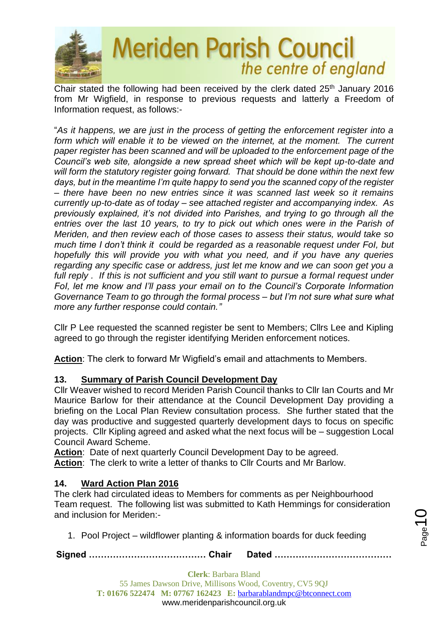

Chair stated the following had been received by the clerk dated 25<sup>th</sup> January 2016 from Mr Wigfield, in response to previous requests and latterly a Freedom of Information request, as follows:-

"*As it happens, we are just in the process of getting the enforcement register into a form which will enable it to be viewed on the internet, at the moment. The current paper register has been scanned and will be uploaded to the enforcement page of the Council's web site, alongside a new spread sheet which will be kept up-to-date and will form the statutory register going forward. That should be done within the next few days, but in the meantime I'm quite happy to send you the scanned copy of the register – there have been no new entries since it was scanned last week so it remains currently up-to-date as of today – see attached register and accompanying index. As previously explained, it's not divided into Parishes, and trying to go through all the entries over the last 10 years, to try to pick out which ones were in the Parish of Meriden, and then review each of those cases to assess their status, would take so much time I don't think it could be regarded as a reasonable request under FoI, but hopefully this will provide you with what you need, and if you have any queries regarding any specific case or address, just let me know and we can soon get you a full reply . If this is not sufficient and you still want to pursue a formal request under FoI, let me know and I'll pass your email on to the Council's Corporate Information Governance Team to go through the formal process – but I'm not sure what sure what more any further response could contain."*

Cllr P Lee requested the scanned register be sent to Members; Cllrs Lee and Kipling agreed to go through the register identifying Meriden enforcement notices.

**Action**: The clerk to forward Mr Wigfield's email and attachments to Members.

## **13. Summary of Parish Council Development Day**

Cllr Weaver wished to record Meriden Parish Council thanks to Cllr Ian Courts and Mr Maurice Barlow for their attendance at the Council Development Day providing a briefing on the Local Plan Review consultation process. She further stated that the day was productive and suggested quarterly development days to focus on specific projects. Cllr Kipling agreed and asked what the next focus will be – suggestion Local Council Award Scheme.

Action: Date of next quarterly Council Development Day to be agreed. **Action**: The clerk to write a letter of thanks to Cllr Courts and Mr Barlow.

## **14. Ward Action Plan 2016**

The clerk had circulated ideas to Members for comments as per Neighbourhood Team request. The following list was submitted to Kath Hemmings for consideration and inclusion for Meriden:-

1. Pool Project – wildflower planting & information boards for duck feeding